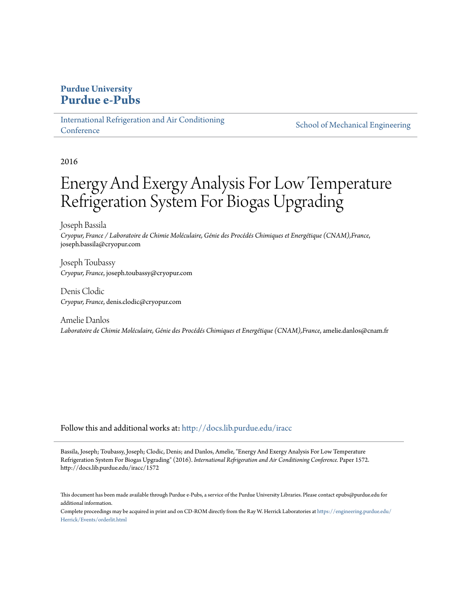# **Purdue University [Purdue e-Pubs](http://docs.lib.purdue.edu?utm_source=docs.lib.purdue.edu%2Firacc%2F1572&utm_medium=PDF&utm_campaign=PDFCoverPages)**

[International Refrigeration and Air Conditioning](http://docs.lib.purdue.edu/iracc?utm_source=docs.lib.purdue.edu%2Firacc%2F1572&utm_medium=PDF&utm_campaign=PDFCoverPages) **[Conference](http://docs.lib.purdue.edu/iracc?utm_source=docs.lib.purdue.edu%2Firacc%2F1572&utm_medium=PDF&utm_campaign=PDFCoverPages)** 

[School of Mechanical Engineering](http://docs.lib.purdue.edu/me?utm_source=docs.lib.purdue.edu%2Firacc%2F1572&utm_medium=PDF&utm_campaign=PDFCoverPages)

2016

# Energy And Exergy Analysis For Low Temperature Refrigeration System For Biogas Upgrading

Joseph Bassila *Cryopur, France / Laboratoire de Chimie Moléculaire, Génie des Procédés Chimiques et Energétique (CNAM),France*, joseph.bassila@cryopur.com

Joseph Toubassy *Cryopur, France*, joseph.toubassy@cryopur.com

Denis Clodic *Cryopur, France*, denis.clodic@cryopur.com

Amelie Danlos *Laboratoire de Chimie Moléculaire, Génie des Procédés Chimiques et Energétique (CNAM),France*, amelie.danlos@cnam.fr

Follow this and additional works at: [http://docs.lib.purdue.edu/iracc](http://docs.lib.purdue.edu/iracc?utm_source=docs.lib.purdue.edu%2Firacc%2F1572&utm_medium=PDF&utm_campaign=PDFCoverPages)

Bassila, Joseph; Toubassy, Joseph; Clodic, Denis; and Danlos, Amelie, "Energy And Exergy Analysis For Low Temperature Refrigeration System For Biogas Upgrading" (2016). *International Refrigeration and Air Conditioning Conference.* Paper 1572. http://docs.lib.purdue.edu/iracc/1572

Complete proceedings may be acquired in print and on CD-ROM directly from the Ray W. Herrick Laboratories at [https://engineering.purdue.edu/](https://engineering.purdue.edu/Herrick/Events/orderlit.html) [Herrick/Events/orderlit.html](https://engineering.purdue.edu/Herrick/Events/orderlit.html)

This document has been made available through Purdue e-Pubs, a service of the Purdue University Libraries. Please contact epubs@purdue.edu for additional information.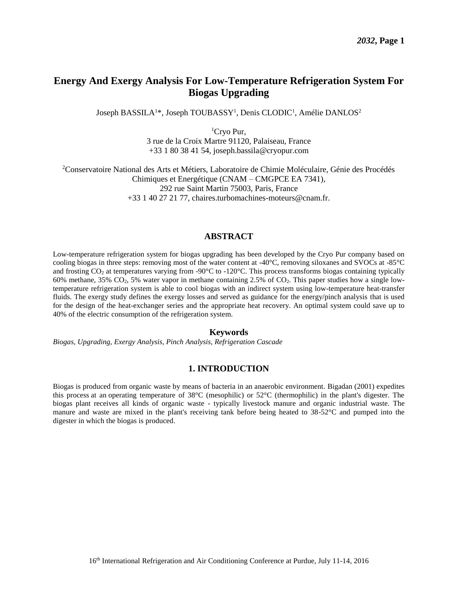# **Energy And Exergy Analysis For Low-Temperature Refrigeration System For Biogas Upgrading**

Joseph BASSILA<sup>1\*</sup>, Joseph TOUBASSY<sup>1</sup>, Denis CLODIC<sup>1</sup>, Amélie DANLOS<sup>2</sup>

<sup>1</sup>Cryo Pur, 3 rue de la Croix Martre 91120, Palaiseau, France +33 1 80 38 41 54, joseph.bassila@cryopur.com

<sup>2</sup>Conservatoire National des Arts et Métiers, Laboratoire de Chimie Moléculaire, Génie des Procédés Chimiques et Energétique (CNAM – CMGPCE EA 7341), 292 rue Saint Martin 75003, Paris, France +33 1 40 27 21 77, chaires.turbomachines-moteurs@cnam.fr.

## **ABSTRACT**

Low-temperature refrigeration system for biogas upgrading has been developed by the Cryo Pur company based on cooling biogas in three steps: removing most of the water content at -40°C, removing siloxanes and SVOCs at -85°C and frosting  $CO_2$  at temperatures varying from -90 $\degree$ C to -120 $\degree$ C. This process transforms biogas containing typically 60% methane, 35% CO2, 5% water vapor in methane containing 2.5% of CO2. This paper studies how a single lowtemperature refrigeration system is able to cool biogas with an indirect system using low-temperature heat-transfer fluids. The exergy study defines the exergy losses and served as guidance for the energy/pinch analysis that is used for the design of the heat-exchanger series and the appropriate heat recovery. An optimal system could save up to 40% of the electric consumption of the refrigeration system.

#### **Keywords**

*Biogas, Upgrading, Exergy Analysis, Pinch Analysis, Refrigeration Cascade*

# **1. INTRODUCTION**

Biogas is produced from organic waste by means of bacteria in an anaerobic environment. Bigadan (2001) expedites this process at an operating temperature of 38°C (mesophilic) or 52°C (thermophilic) in the plant's digester. The biogas plant receives all kinds of organic waste - typically livestock manure and organic industrial waste. The manure and waste are mixed in the plant's receiving tank before being heated to 38-52°C and pumped into the digester in which the biogas is produced.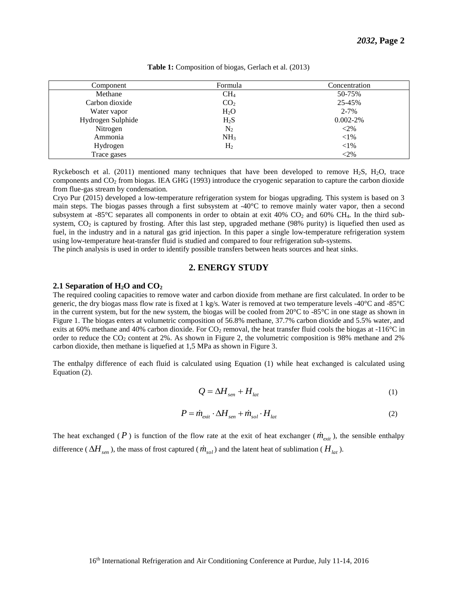| Component         | Formula         | Concentration |
|-------------------|-----------------|---------------|
| Methane           | CH <sub>4</sub> | 50-75%        |
| Carbon dioxide    | CO <sub>2</sub> | 25-45%        |
| Water vapor       | $H_2O$          | $2 - 7%$      |
| Hydrogen Sulphide | $H_2S$          | $0.002 - 2%$  |
| Nitrogen          | $N_2$           | $<$ 2%        |
| Ammonia           | NH <sub>3</sub> | ${<}1\%$      |
| Hydrogen          | H <sub>2</sub>  | ${<}1\%$      |
| Trace gases       |                 | $<$ 2%        |
|                   |                 |               |

**Table 1:** Composition of biogas, Gerlach et al. (2013)

Ryckebosch et al. (2011) mentioned many techniques that have been developed to remove  $H_2S$ ,  $H_2O$ , trace components and CO<sup>2</sup> from biogas. IEA GHG (1993) introduce the cryogenic separation to capture the carbon dioxide from flue-gas stream by condensation.

Cryo Pur (2015) developed a low-temperature refrigeration system for biogas upgrading. This system is based on 3 main steps. The biogas passes through a first subsystem at -40°C to remove mainly water vapor, then a second subsystem at  $-85^{\circ}$ C separates all components in order to obtain at exit 40% CO<sub>2</sub> and 60% CH<sub>4</sub>. In the third subsystem,  $CO<sub>2</sub>$  is captured by frosting. After this last step, upgraded methane (98% purity) is liquefied then used as fuel, in the industry and in a natural gas grid injection. In this paper a single low-temperature refrigeration system using low-temperature heat-transfer fluid is studied and compared to four refrigeration sub-systems.

The pinch analysis is used in order to identify possible transfers between heats sources and heat sinks.

#### **2. ENERGY STUDY**

#### **2.1 Separation of H2O and CO<sup>2</sup>**

The required cooling capacities to remove water and carbon dioxide from methane are first calculated. In order to be generic, the dry biogas mass flow rate is fixed at 1 kg/s. Water is removed at two temperature levels -40°C and -85°C in the current system, but for the new system, the biogas will be cooled from  $20^{\circ}$ C to  $-85^{\circ}$ C in one stage as shown in Figure 1. The biogas enters at volumetric composition of 56.8% methane, 37.7% carbon dioxide and 5.5% water, and exits at 60% methane and 40% carbon dioxide. For  $CO_2$  removal, the heat transfer fluid cools the biogas at -116 $\degree$ C in order to reduce the  $CO_2$  content at 2%. As shown in Figure 2, the volumetric composition is 98% methane and 2% carbon dioxide, then methane is liquefied at 1,5 MPa as shown in Figure 3.

The enthalpy difference of each fluid is calculated using Equation (1) while heat exchanged is calculated using Equation (2).

$$
Q = \Delta H_{sen} + H_{lat} \tag{1}
$$

$$
P = \dot{m}_{exit} \cdot \Delta H_{sen} + \dot{m}_{sol} \cdot H_{lat}
$$
 (2)

The heat exchanged ( $P$ ) is function of the flow rate at the exit of heat exchanger ( $\dot{m}_{exit}$ ), the sensible enthalpy difference (  $\Delta H_{sen}$  ), the mass of frost captured (  $\dot{m}_{sol}$  ) and the latent heat of sublimation (  $H_{lat}$  ).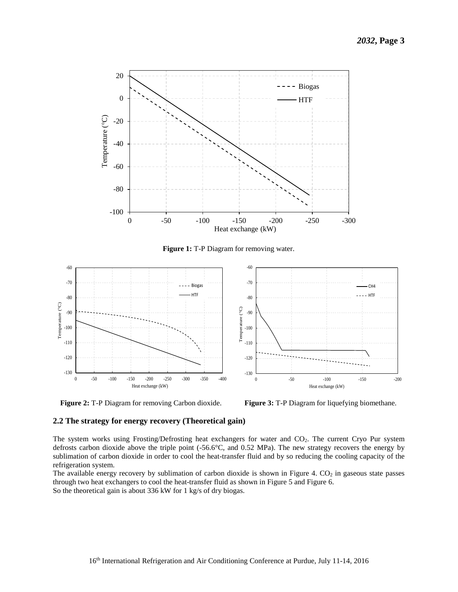

**Figure 1:** T-P Diagram for removing water.





#### **2.2 The strategy for energy recovery (Theoretical gain)**

The system works using Frosting/Defrosting heat exchangers for water and CO<sub>2</sub>. The current Cryo Pur system defrosts carbon dioxide above the triple point (-56.6°C, and 0.52 MPa). The new strategy recovers the energy by sublimation of carbon dioxide in order to cool the heat-transfer fluid and by so reducing the cooling capacity of the refrigeration system.

The available energy recovery by sublimation of carbon dioxide is shown in Figure 4.  $CO<sub>2</sub>$  in gaseous state passes through two heat exchangers to cool the heat-transfer fluid as shown in Figure 5 and Figure 6. So the theoretical gain is about 336 kW for 1 kg/s of dry biogas.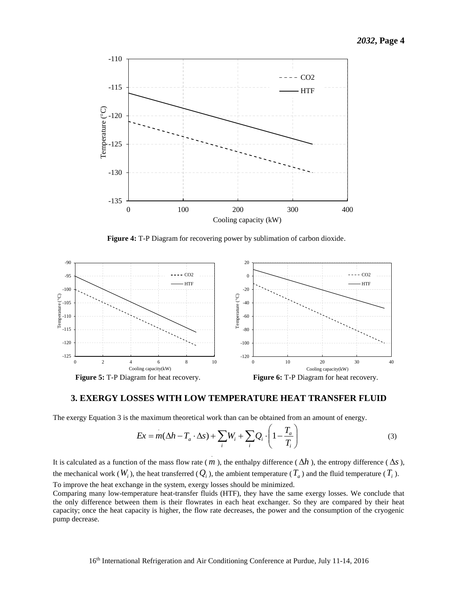

**Figure 4:** T-P Diagram for recovering power by sublimation of carbon dioxide.



# **3. EXERGY LOSSES WITH LOW TEMPERATURE HEAT TRANSFER FLUID**

The exergy Equation 3 is the maximum theoretical work than can be obtained from an amount of energy.

.

$$
Ex = m(\Delta h - T_a \cdot \Delta s) + \sum_i W_i + \sum_i Q_i \cdot \left(1 - \frac{T_a}{T_i}\right)
$$
 (3)

It is calculated as a function of the mass flow rate (*m*), the enthalpy difference ( $\Delta h$ ), the entropy difference ( $\Delta s$ ), the mechanical work  $(W_i)$ , the heat transferred  $(Q_i)$ , the ambient temperature  $(T_a)$  and the fluid temperature  $(T_i)$ . To improve the heat exchange in the system, exergy losses should be minimized.

Comparing many low-temperature heat-transfer fluids (HTF), they have the same exergy losses. We conclude that the only difference between them is their flowrates in each heat exchanger. So they are compared by their heat capacity; once the heat capacity is higher, the flow rate decreases, the power and the consumption of the cryogenic pump decrease.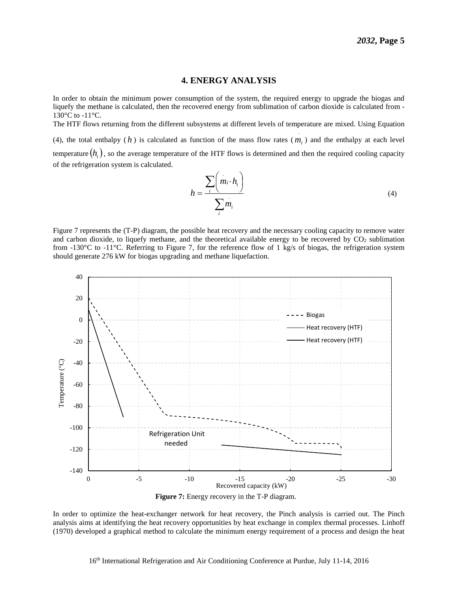#### **4. ENERGY ANALYSIS**

In order to obtain the minimum power consumption of the system, the required energy to upgrade the biogas and liquefy the methane is calculated, then the recovered energy from sublimation of carbon dioxide is calculated from - 130°C to -11°C.

The HTF flows returning from the different subsystems at different levels of temperature are mixed. Using Equation (4), the total enthalpy  $(h)$  is calculated as function of the mass flow rates  $(m<sub>i</sub>)$  and the enthalpy at each level . temperature  $(h_i)$ , so the average temperature of the HTF flows is determined and then the required cooling capacity of the refrigeration system is calculated.

$$
h = \frac{\sum_{i} \left( m_i \cdot h_i \right)}{\sum_{i} m_i} \tag{4}
$$

Figure 7 represents the (T-P) diagram, the possible heat recovery and the necessary cooling capacity to remove water and carbon dioxide, to liquefy methane, and the theoretical available energy to be recovered by  $CO<sub>2</sub>$  sublimation from -130 $^{\circ}$ C to -11 $^{\circ}$ C. Referring to Figure 7, for the reference flow of 1 kg/s of biogas, the refrigeration system should generate 276 kW for biogas upgrading and methane liquefaction.



**Figure 7:** Energy recovery in the T-P diagram.

In order to optimize the heat-exchanger network for heat recovery, the Pinch analysis is carried out. The Pinch analysis aims at identifying the heat recovery opportunities by heat exchange in complex thermal processes. Linhoff (1970) developed a graphical method to calculate the minimum energy requirement of a process and design the heat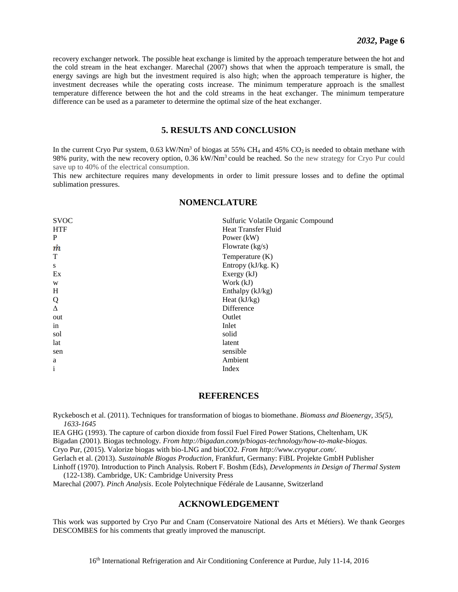recovery exchanger network. The possible heat exchange is limited by the approach temperature between the hot and the cold stream in the heat exchanger. Marechal (2007) shows that when the approach temperature is small, the energy savings are high but the investment required is also high; when the approach temperature is higher, the investment decreases while the operating costs increase. The minimum temperature approach is the smallest temperature difference between the hot and the cold streams in the heat exchanger. The minimum temperature difference can be used as a parameter to determine the optimal size of the heat exchanger.

# **5. RESULTS AND CONCLUSION**

In the current Cryo Pur system,  $0.63 \text{ kW/Nm}^3$  of biogas at 55% CH<sub>4</sub> and 45% CO<sub>2</sub> is needed to obtain methane with 98% purity, with the new recovery option, 0.36 kW/Nm<sup>3</sup> could be reached. So the new strategy for Cryo Pur could save up to 40% of the electrical consumption.

This new architecture requires many developments in order to limit pressure losses and to define the optimal sublimation pressures.

#### **NOMENCLATURE**

| <b>SVOC</b>       | Sulfuric Volatile Organic Compound |
|-------------------|------------------------------------|
| <b>HTF</b>        | <b>Heat Transfer Fluid</b>         |
| P                 | Power $(kW)$                       |
| m                 | Flowrate (kg/s)                    |
| T                 | Temperature $(K)$                  |
| S                 | Entropy (kJ/kg. K)                 |
| Ex                | Exergy $(kJ)$                      |
| W                 | Work (kJ)                          |
| H                 | Enthalpy (kJ/kg)                   |
| Q                 | Heat $(kJ/kg)$                     |
| Δ                 | Difference                         |
| out               | Outlet                             |
| in                | Inlet                              |
| sol               | solid                              |
| lat               | latent                             |
| sen               | sensible                           |
| a                 | Ambient                            |
| ٠<br>$\mathbf{1}$ | Index                              |
|                   |                                    |

## **REFERENCES**

Ryckebosch et al. (2011). Techniques for transformation of biogas to biomethane. *Biomass and Bioenergy, 35(5), 1633-1645*

IEA GHG (1993). The capture of carbon dioxide from fossil Fuel Fired Power Stations, Cheltenham, UK

Bigadan (2001). Biogas technology. *From http://bigadan.com/p/biogas-technology/how-to-make-biogas.*

Cryo Pur, (2015). Valorize biogas with bio-LNG and bioCO2. *From [http://www.cryopur.com/.](http://www.cryopur.com/)*

Gerlach et al. (2013). *Sustainable Biogas Production*, Frankfurt, Germany: FiBL Projekte GmbH Publisher

Linhoff (1970). Introduction to Pinch Analysis. Robert F. Boshm (Eds), *Developments in Design of Thermal System* (122-138). Cambridge, UK: Cambridge University Press

Marechal (2007). *Pinch Analysis*. Ecole Polytechnique Fédérale de Lausanne, Switzerland

## **ACKNOWLEDGEMENT**

This work was supported by Cryo Pur and Cnam (Conservatoire National des Arts et Métiers). We thank Georges DESCOMBES for his comments that greatly improved the manuscript.